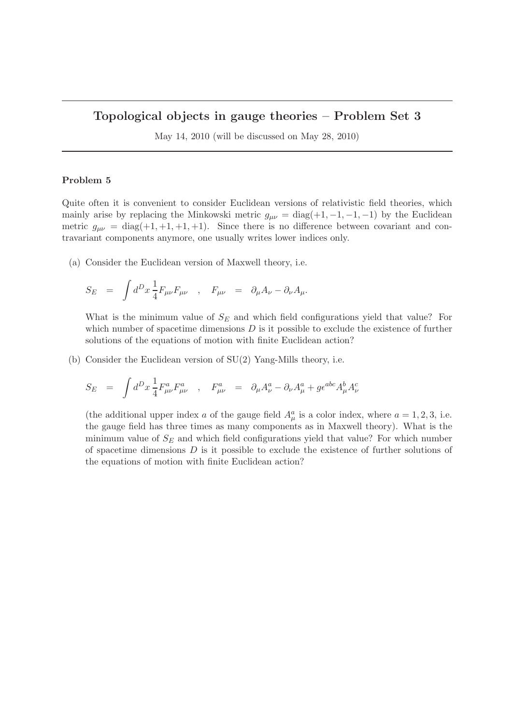## Topological objects in gauge theories – Problem Set 3

May 14, 2010 (will be discussed on May 28, 2010)

## Problem 5

Quite often it is convenient to consider Euclidean versions of relativistic field theories, which mainly arise by replacing the Minkowski metric  $g_{\mu\nu} = \text{diag}(+1, -1, -1, -1)$  by the Euclidean metric  $g_{\mu\nu} = \text{diag}(+1, +1, +1, +1)$ . Since there is no difference between covariant and contravariant components anymore, one usually writes lower indices only.

(a) Consider the Euclidean version of Maxwell theory, i.e.

$$
S_E \quad = \quad \int d^D x \, \frac{1}{4} F_{\mu\nu} F_{\mu\nu} \quad , \quad F_{\mu\nu} \quad = \quad \partial_\mu A_\nu - \partial_\nu A_\mu.
$$

What is the minimum value of  $S_E$  and which field configurations yield that value? For which number of spacetime dimensions  $D$  is it possible to exclude the existence of further solutions of the equations of motion with finite Euclidean action?

(b) Consider the Euclidean version of SU(2) Yang-Mills theory, i.e.

$$
S_E = \int d^D x \frac{1}{4} F^a_{\mu\nu} F^a_{\mu\nu} , \quad F^a_{\mu\nu} = \partial_\mu A^a_\nu - \partial_\nu A^a_\mu + g \epsilon^{abc} A^b_\mu A^c_\nu
$$

(the additional upper index a of the gauge field  $A^a_\mu$  is a color index, where  $a = 1, 2, 3$ , i.e. the gauge field has three times as many components as in Maxwell theory). What is the minimum value of  $S_F$  and which field configurations yield that value? For which number of spacetime dimensions  $D$  is it possible to exclude the existence of further solutions of the equations of motion with finite Euclidean action?